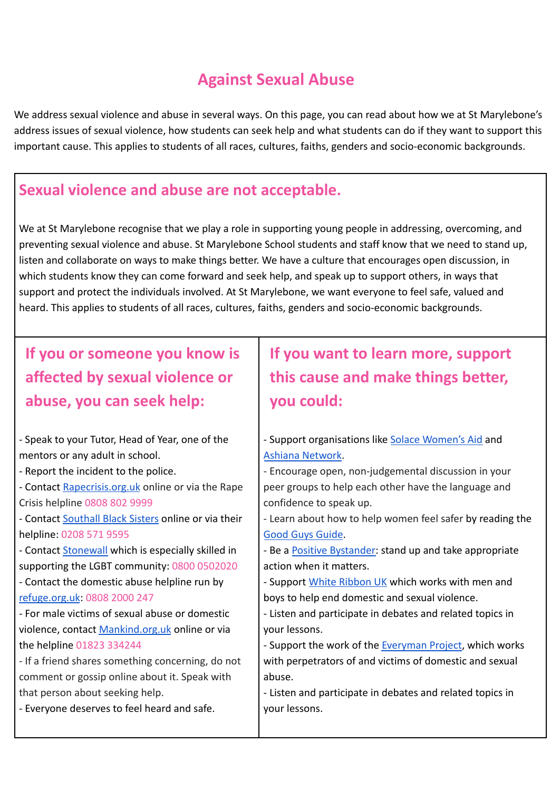## **Against Sexual Abuse**

We address sexual violence and abuse in several ways. On this page, you can read about how we at St Marylebone's address issues of sexual violence, how students can seek help and what students can do if they want to support this important cause. This applies to students of all races, cultures, faiths, genders and socio-economic backgrounds.

## **Sexual violence and abuse are not acceptable.**

We at St Marylebone recognise that we play a role in supporting young people in addressing, overcoming, and preventing sexual violence and abuse. St Marylebone School students and staff know that we need to stand up, listen and collaborate on ways to make things better. We have a culture that encourages open discussion, in which students know they can come forward and seek help, and speak up to support others, in ways that support and protect the individuals involved. At St Marylebone, we want everyone to feel safe, valued and heard. This applies to students of all races, cultures, faiths, genders and socio-economic backgrounds.

**If you or someone you know is affected by sexual violence or abuse, you can seek help:**

- Speak to your Tutor, Head of Year, one of the mentors or any adult in school.

- Report the incident to the police.

- Contact [Rapecrisis.org.uk](http://rapecrisis.org.uk/) online or via the Rape Crisis helpline 0808 802 9999

- Contact [Southall Black Sisters](https://southallblacksisters.org.uk/services/) online or via their helpline: 0208 571 9595

- Contact [Stonewall](https://www.stonewall.org.uk/help-and-advice) which is especially skilled in supporting the LGBT community: 0800 0502020

- Contact the domestic abuse helpline run by [refuge.org.uk](http://refuge.org.uk/): 0808 2000 247

- For male victims of sexual abuse or domestic violence, contact [Mankind.org.uk](http://mankind.org.uk/) online or via the helpline 01823 334244

- If a friend shares something concerning, do not comment or gossip online about it. Speak with that person about seeking help.

- Everyone deserves to feel heard and safe.

## **If you want to learn more, support this cause and make things better, you could:**

- Support organisations like [Solace Women's Aid](http://solacewomensaid.org/) and [Ashiana Network.](https://www.ashiana.org.uk/)

- Encourage open, non-judgemental discussion in your peer groups to help each other have the language and confidence to speak up.

- Learn about how to help women feel safer by reading the [Good Guys Guide](https://goodguysguide.co.uk/).

- Be a [Positive Bystander:](https://www.solacewomensaid.org/sites/default/files/participants_handout_-_being_a_positive_bystander.pdf) stand up and take appropriate action when it matters.

- Support [White Ribbon UK](http://whiteribbon.org.uk/) which works with men and boys to help end domestic and sexual violence.
- Listen and participate in debates and related topics in your lessons.

- Support the work of the [Everyman Project,](http://www.everymanproject.co.uk/about-us/) which works with perpetrators of and victims of domestic and sexual abuse.

- Listen and participate in debates and related topics in your lessons.